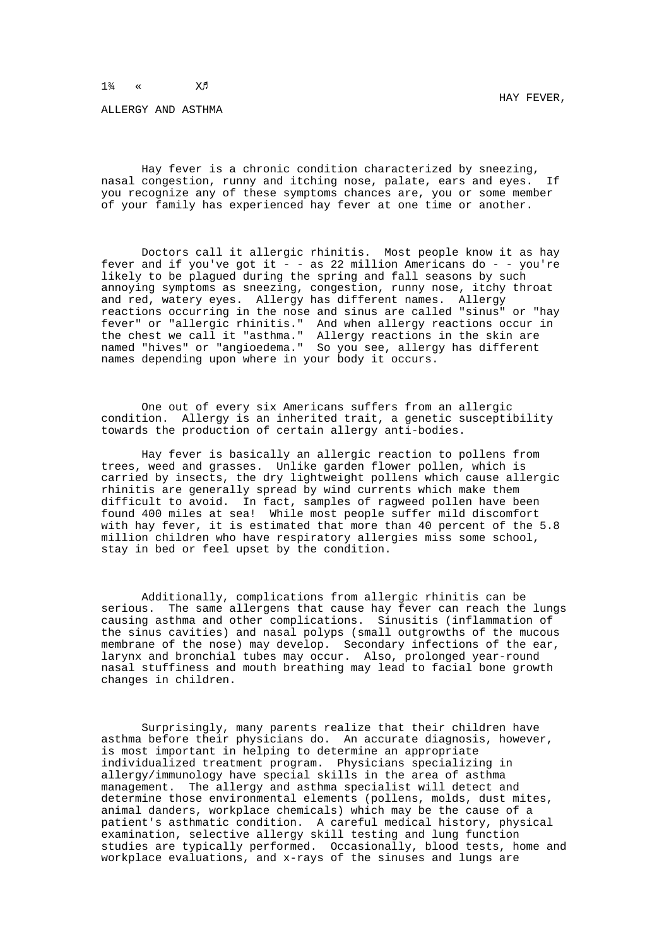## $1\frac{3}{4}$  «  $X\beta$

ALLERGY AND ASTHMA

Hay fever is a chronic condition characterized by sneezing, nasal congestion, runny and itching nose, palate, ears and eyes. If you recognize any of these symptoms chances are, you or some member of your family has experienced hay fever at one time or another.

Doctors call it allergic rhinitis. Most people know it as hay fever and if you've got it  $-$  - as 22 million Americans do  $-$  - you're likely to be plagued during the spring and fall seasons by such annoying symptoms as sneezing, congestion, runny nose, itchy throat and red, watery eyes. Allergy has different names. Allergy reactions occurring in the nose and sinus are called "sinus" or "hay fever" or "allergic rhinitis." And when allergy reactions occur in the chest we call it "asthma." Allergy reactions in the skin are named "hives" or "angioedema." So you see, allergy has different names depending upon where in your body it occurs.

One out of every six Americans suffers from an allergic condition. Allergy is an inherited trait, a genetic susceptibility towards the production of certain allergy anti-bodies.

Hay fever is basically an allergic reaction to pollens from trees, weed and grasses. Unlike garden flower pollen, which is carried by insects, the dry lightweight pollens which cause allergic rhinitis are generally spread by wind currents which make them difficult to avoid. In fact, samples of ragweed pollen have been found 400 miles at sea! While most people suffer mild discomfort with hay fever, it is estimated that more than 40 percent of the 5.8 million children who have respiratory allergies miss some school, stay in bed or feel upset by the condition.

Additionally, complications from allergic rhinitis can be serious. The same allergens that cause hay fever can reach the lungs causing asthma and other complications. Sinusitis (inflammation of the sinus cavities) and nasal polyps (small outgrowths of the mucous membrane of the nose) may develop. Secondary infections of the ear, larynx and bronchial tubes may occur. Also, prolonged year-round nasal stuffiness and mouth breathing may lead to facial bone growth changes in children.

Surprisingly, many parents realize that their children have asthma before their physicians do. An accurate diagnosis, however, is most important in helping to determine an appropriate individualized treatment program. Physicians specializing in allergy/immunology have special skills in the area of asthma management. The allergy and asthma specialist will detect and determine those environmental elements (pollens, molds, dust mites, animal danders, workplace chemicals) which may be the cause of a patient's asthmatic condition. A careful medical history, physical examination, selective allergy skill testing and lung function studies are typically performed. Occasionally, blood tests, home and workplace evaluations, and x-rays of the sinuses and lungs are

HAY FEVER,